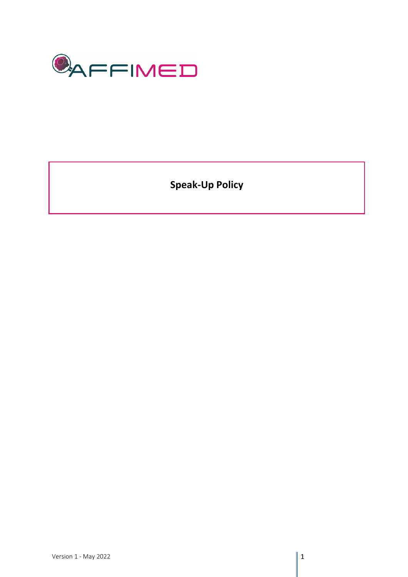

**Speak-Up Policy**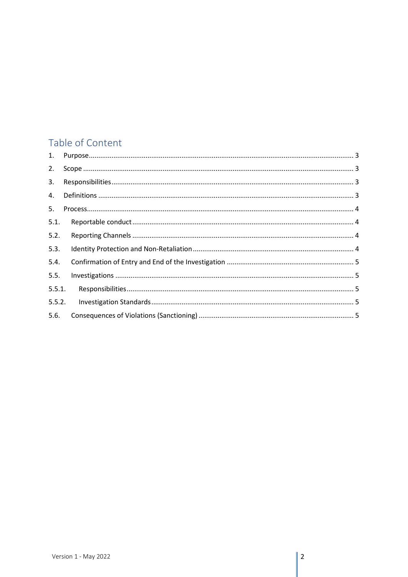# Table of Content

| 2.     |  |
|--------|--|
| 3.     |  |
| 4.     |  |
| 5.     |  |
| 5.1.   |  |
| 5.2.   |  |
| 5.3.   |  |
| 5.4.   |  |
| 5.5.   |  |
| 5.5.1. |  |
| 5.5.2. |  |
| 5.6.   |  |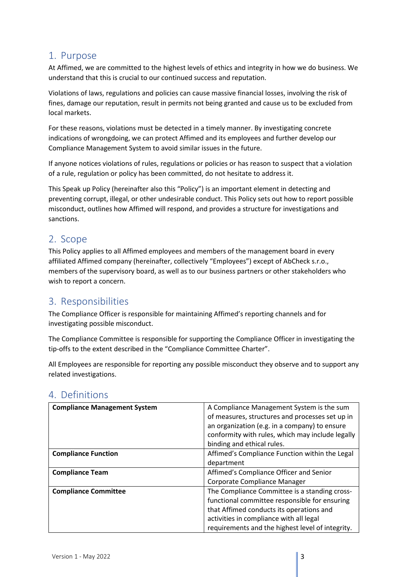#### <span id="page-2-0"></span>1. Purpose

At Affimed, we are committed to the highest levels of ethics and integrity in how we do business. We understand that this is crucial to our continued success and reputation.

Violations of laws, regulations and policies can cause massive financial losses, involving the risk of fines, damage our reputation, result in permits not being granted and cause us to be excluded from local markets.

For these reasons, violations must be detected in a timely manner. By investigating concrete indications of wrongdoing, we can protect Affimed and its employees and further develop our Compliance Management System to avoid similar issues in the future.

If anyone notices violations of rules, regulations or policies or has reason to suspect that a violation of a rule, regulation or policy has been committed, do not hesitate to address it.

This Speak up Policy (hereinafter also this "Policy") is an important element in detecting and preventing corrupt, illegal, or other undesirable conduct. This Policy sets out how to report possible misconduct, outlines how Affimed will respond, and provides a structure for investigations and sanctions.

### <span id="page-2-1"></span>2. Scope

This Policy applies to all Affimed employees and members of the management board in every affiliated Affimed company (hereinafter, collectively "Employees") except of AbCheck s.r.o., members of the supervisory board, as well as to our business partners or other stakeholders who wish to report a concern.

#### <span id="page-2-2"></span>3. Responsibilities

The Compliance Officer is responsible for maintaining Affimed's reporting channels and for investigating possible misconduct.

The Compliance Committee is responsible for supporting the Compliance Officer in investigating the tip-offs to the extent described in the "Compliance Committee Charter".

All Employees are responsible for reporting any possible misconduct they observe and to support any related investigations.

| <b>Compliance Management System</b> | A Compliance Management System is the sum<br>of measures, structures and processes set up in<br>an organization (e.g. in a company) to ensure<br>conformity with rules, which may include legally |
|-------------------------------------|---------------------------------------------------------------------------------------------------------------------------------------------------------------------------------------------------|
|                                     | binding and ethical rules.                                                                                                                                                                        |
| <b>Compliance Function</b>          | Affimed's Compliance Function within the Legal                                                                                                                                                    |
|                                     | department                                                                                                                                                                                        |
| <b>Compliance Team</b>              | Affimed's Compliance Officer and Senior                                                                                                                                                           |
|                                     | Corporate Compliance Manager                                                                                                                                                                      |
| <b>Compliance Committee</b>         | The Compliance Committee is a standing cross-                                                                                                                                                     |
|                                     | functional committee responsible for ensuring                                                                                                                                                     |
|                                     | that Affimed conducts its operations and                                                                                                                                                          |
|                                     | activities in compliance with all legal                                                                                                                                                           |
|                                     | requirements and the highest level of integrity.                                                                                                                                                  |

### <span id="page-2-3"></span>4. Definitions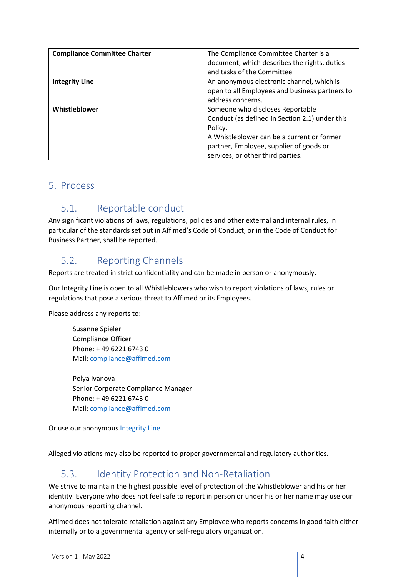| <b>Compliance Committee Charter</b> | The Compliance Committee Charter is a          |
|-------------------------------------|------------------------------------------------|
|                                     | document, which describes the rights, duties   |
|                                     | and tasks of the Committee                     |
| <b>Integrity Line</b>               | An anonymous electronic channel, which is      |
|                                     | open to all Employees and business partners to |
|                                     | address concerns.                              |
| Whistleblower                       | Someone who discloses Reportable               |
|                                     | Conduct (as defined in Section 2.1) under this |
|                                     | Policy.                                        |
|                                     | A Whistleblower can be a current or former     |
|                                     | partner, Employee, supplier of goods or        |
|                                     | services, or other third parties.              |

#### <span id="page-3-1"></span><span id="page-3-0"></span>5. Process

### 5.1. Reportable conduct

Any significant violations of laws, regulations, policies and other external and internal rules, in particular of the standards set out in Affimed's Code of Conduct, or in the Code of Conduct for Business Partner, shall be reported.

### <span id="page-3-2"></span>5.2. Reporting Channels

Reports are treated in strict confidentiality and can be made in person or anonymously.

Our Integrity Line is open to all Whistleblowers who wish to report violations of laws, rules or regulations that pose a serious threat to Affimed or its Employees.

Please address any reports to:

Susanne Spieler Compliance Officer Phone: + 49 6221 6743 0 Mail: [compliance@affimed.com](mailto:compliance@affimed.com)

Polya Ivanova Senior Corporate Compliance Manager Phone: + 49 6221 6743 0 Mail: [compliance@affimed.com](mailto:compliance@affimed.com)

Or use our anonymous [Integrity Line](https://affimed.integrityline.com/) 

Alleged violations may also be reported to proper governmental and regulatory authorities.

### <span id="page-3-3"></span>5.3. Identity Protection and Non-Retaliation

We strive to maintain the highest possible level of protection of the Whistleblower and his or her identity. Everyone who does not feel safe to report in person or under his or her name may use our anonymous reporting channel.

Affimed does not tolerate retaliation against any Employee who reports concerns in good faith either internally or to a governmental agency or self-regulatory organization.